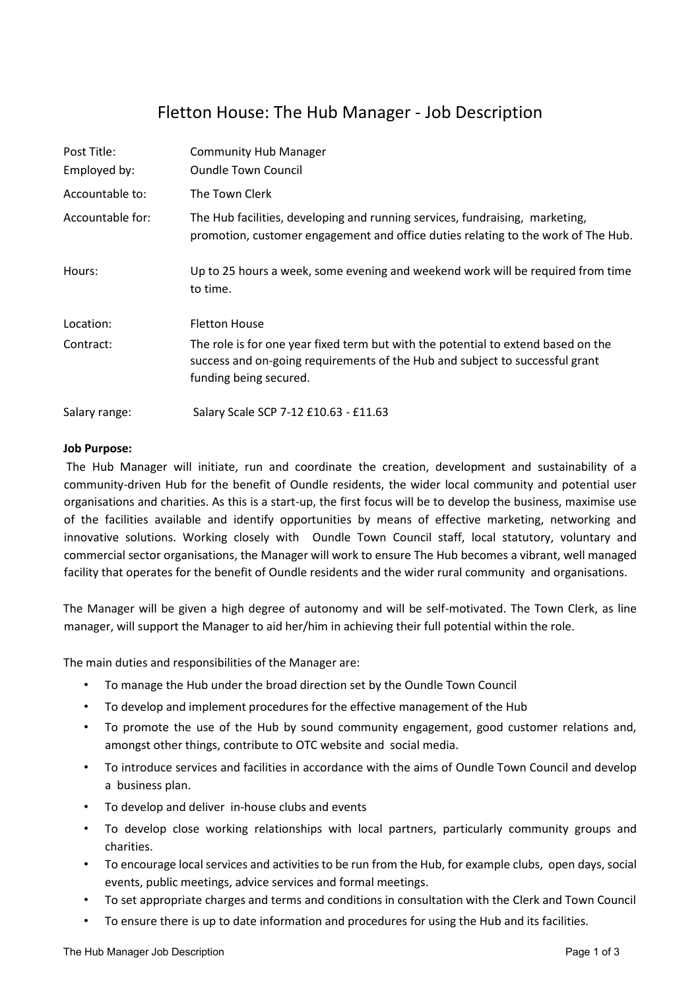# Fletton House: The Hub Manager - Job Description

| Post Title:      | <b>Community Hub Manager</b>                                                                                                                                                                |
|------------------|---------------------------------------------------------------------------------------------------------------------------------------------------------------------------------------------|
| Employed by:     | <b>Oundle Town Council</b>                                                                                                                                                                  |
| Accountable to:  | The Town Clerk                                                                                                                                                                              |
| Accountable for: | The Hub facilities, developing and running services, fundraising, marketing,<br>promotion, customer engagement and office duties relating to the work of The Hub.                           |
| Hours:           | Up to 25 hours a week, some evening and weekend work will be required from time<br>to time.                                                                                                 |
| Location:        | <b>Fletton House</b>                                                                                                                                                                        |
| Contract:        | The role is for one year fixed term but with the potential to extend based on the<br>success and on-going requirements of the Hub and subject to successful grant<br>funding being secured. |
| Salary range:    | Salary Scale SCP 7-12 £10.63 - £11.63                                                                                                                                                       |

### **Job Purpose:**

The Hub Manager will initiate, run and coordinate the creation, development and sustainability of a community-driven Hub for the benefit of Oundle residents, the wider local community and potential user organisations and charities. As this is a start-up, the first focus will be to develop the business, maximise use of the facilities available and identify opportunities by means of effective marketing, networking and innovative solutions. Working closely with Oundle Town Council staff, local statutory, voluntary and commercial sector organisations, the Manager will work to ensure The Hub becomes a vibrant, well managed facility that operates for the benefit of Oundle residents and the wider rural community and organisations.

The Manager will be given a high degree of autonomy and will be self-motivated. The Town Clerk, as line manager, will support the Manager to aid her/him in achieving their full potential within the role.

The main duties and responsibilities of the Manager are:

- To manage the Hub under the broad direction set by the Oundle Town Council
- To develop and implement procedures for the effective management of the Hub
- To promote the use of the Hub by sound community engagement, good customer relations and, amongst other things, contribute to OTC website and social media.
- To introduce services and facilities in accordance with the aims of Oundle Town Council and develop a business plan.
- To develop and deliver in-house clubs and events
- To develop close working relationships with local partners, particularly community groups and charities.
- To encourage local services and activities to be run from the Hub, for example clubs, open days, social events, public meetings, advice services and formal meetings.
- To set appropriate charges and terms and conditions in consultation with the Clerk and Town Council
- To ensure there is up to date information and procedures for using the Hub and its facilities.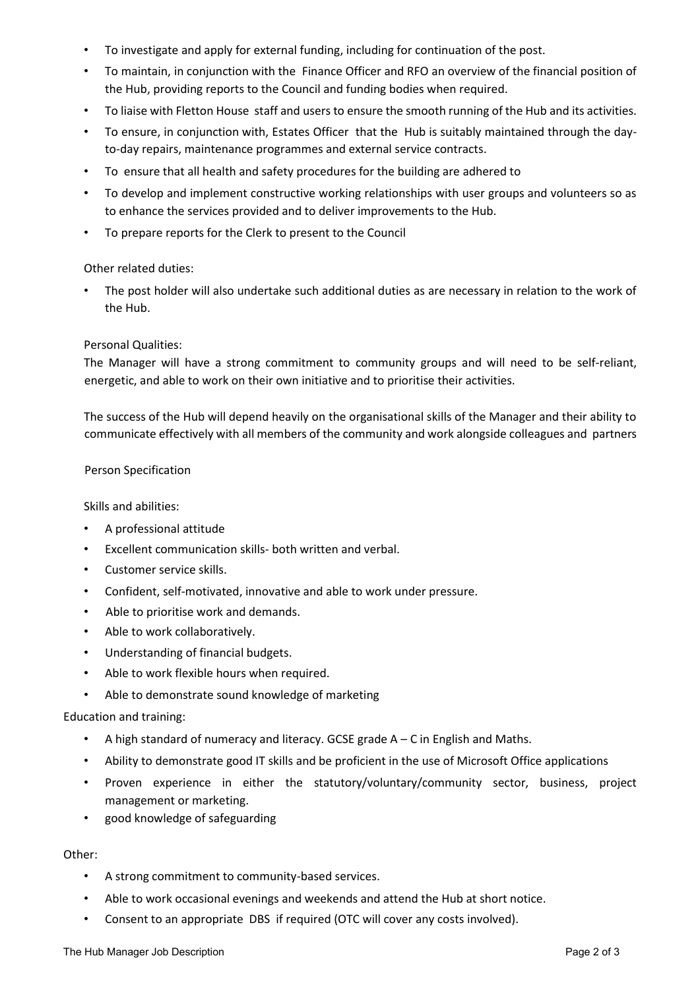- To investigate and apply for external funding, including for continuation of the post.
- To maintain, in conjunction with the Finance Officer and RFO an overview of the financial position of the Hub, providing reports to the Council and funding bodies when required.
- To liaise with Fletton House staff and users to ensure the smooth running of the Hub and its activities.
- To ensure, in conjunction with, Estates Officer that the Hub is suitably maintained through the dayto-day repairs, maintenance programmes and external service contracts.
- To ensure that all health and safety procedures for the building are adhered to
- To develop and implement constructive working relationships with user groups and volunteers so as to enhance the services provided and to deliver improvements to the Hub.
- To prepare reports for the Clerk to present to the Council

### Other related duties:

The post holder will also undertake such additional duties as are necessary in relation to the work of the Hub.

### Personal Qualities:

The Manager will have a strong commitment to community groups and will need to be self-reliant, energetic, and able to work on their own initiative and to prioritise their activities.

The success of the Hub will depend heavily on the organisational skills of the Manager and their ability to communicate effectively with all members of the community and work alongside colleagues and partners

### Person Specification

Skills and abilities:

- A professional attitude
- Excellent communication skills- both written and verbal.
- Customer service skills.
- Confident, self-motivated, innovative and able to work under pressure.
- Able to prioritise work and demands.
- Able to work collaboratively.
- Understanding of financial budgets.
- Able to work flexible hours when required.
- Able to demonstrate sound knowledge of marketing

Education and training:

- A high standard of numeracy and literacy. GCSE grade  $A C$  in English and Maths.
- Ability to demonstrate good IT skills and be proficient in the use of Microsoft Office applications
- Proven experience in either the statutory/voluntary/community sector, business, project management or marketing.
- good knowledge of safeguarding

## Other:

- A strong commitment to community-based services.
- Able to work occasional evenings and weekends and attend the Hub at short notice.
- Consent to an appropriate DBS if required (OTC will cover any costs involved).